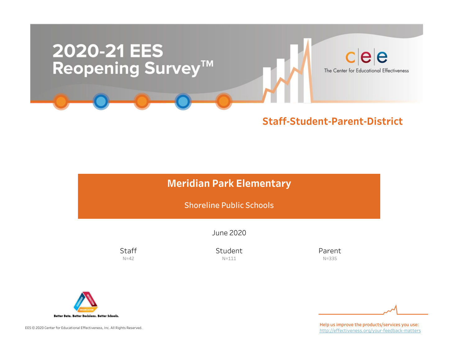

# **Meridian Park Elementary**

Shoreline Public Schools

June2020

**Staff**  $N=42$ 

Student N=111

Parent N=335



EES © 2020 Center for Educational Effectiveness, Inc. All Rights Reserved.

Help us improve the products/services you use: http://effectiveness.org/your-feedback-matters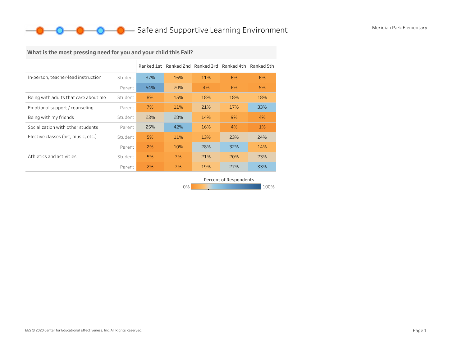# **O** Safe and Supportive Learning Environment Meridian Park Elementary

# What is the most pressing need for you and your child this Fall?

|                                      |         | Ranked 1st |     | Ranked 2nd Ranked 3rd | Ranked 4th | Ranked 5th |
|--------------------------------------|---------|------------|-----|-----------------------|------------|------------|
| In-person, teacher-lead instruction  | Student | 37%        | 16% | 11%                   | 6%         | 6%         |
|                                      | Parent  | 54%        | 20% | 4%                    | 6%         | 5%         |
| Being with adults that care about me | Student | 8%         | 15% | 18%                   | 18%        | 18%        |
| Emotional support / counseling       | Parent  | 7%         | 11% | 21%                   | 17%        | 33%        |
| Being with my friends                | Student | 23%        | 28% | 14%                   | 9%         | 4%         |
| Socialization with other students    | Parent  | 25%        | 42% | 16%                   | 4%         | $1\%$      |
| Elective classes (art, music, etc.)  | Student | 5%         | 11% | 13%                   | 23%        | 24%        |
|                                      | Parent  | 2%         | 10% | 28%                   | 32%        | 14%        |
| Athletics and activities             | Student | 5%         | 7%  | 21%                   | 20%        | 23%        |
|                                      | Parent  | 2%         | 7%  | 19%                   | 27%        | 33%        |

Percent of Respondents

0% 100% 100% 100% 100%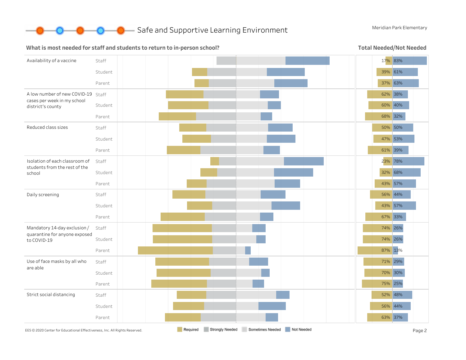

#### What is most needed for staff and students to return to in-person school?

Total Needed/Not Needed

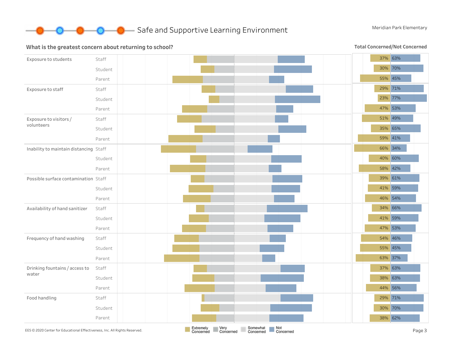

#### Exposure to students Staff Student Parent Exposure to staff Staff Student Parent Exposure to visitors/ volunteers Staff Student Parent Inability to maintain distancing Staff Student Parent Possible surface contamination Staff Student Parent Availability of hand sanitizer Staff Student Parent Frequency of hand washing Staff Student Parent Drinking fountains / access to water Staff Student Parent Food handling Staff Student Parent 37% 63% 30% 70% 55% 45% 29% 71% 23% 77% 47% 53% 51% 49% 35% 65% 59% 41% 66% 34% 40% 60% 58% 42% 39% 61% 41% 59% 46% 54% 34% 66% 41% 59% 47% 53% 54% 46% 55% 45% 63% 37% 37% 63% 38% 63% 44% 56% 29% 71% 30% 70% 38% 62% EES©2020 Center for Educational Effectiveness, Inc. All Rights Reserved. **Page 3 Extremely Extremely Page 2 Page 3 Concerned Concerned Concerned Concerned Concerned Concerned Concerned Concerned**

### What is the greatest concern about returning to school?

Total Concerned/Not Concerned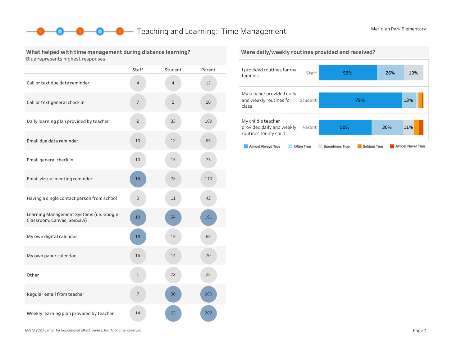# **O** Teaching and Learning: Time Management Meridian Park Elementary

### What helped with time management during distance learning? Blue represents highest responses.

|                                                                        | <b>Staff</b>             | Student        | Parent |
|------------------------------------------------------------------------|--------------------------|----------------|--------|
| Call or text due date reminder                                         | 4                        | $\overline{4}$ | 12     |
| Call or text general check in                                          | $\overline{\phantom{a}}$ | 5              | 18     |
| Daily learning plan provided by teacher                                | $\overline{c}$           | 33             | 109    |
| Email due date reminder                                                | 10                       | 12             | 65     |
| Email general check in                                                 | 10                       | 15             | 73     |
| Email virtual meeting reminder                                         | 18                       | 25             | 110    |
| Having a single contact person from school                             | 8                        | 11             | 42     |
| Learning Management Systems (i.e. Google<br>Classroom, Canvas, SeeSaw) | 18                       | 64             | 191    |
| My own digital calendar                                                | 18                       | 15             | 65     |
| My own paper calendar                                                  | 16                       | 14             | 70     |
| Other                                                                  | $\mathbf{1}$             | 22             | 25     |
| Regular email from teacher                                             | 7                        | 38             | 200    |
| Weekly learning plan provided by teacher                               | 14                       | 62             | 202    |

### Were daily/weekly routines provided and received?



EES©2020CenterforEducationalEffectiveness,Inc.AllRightsReserved. Page4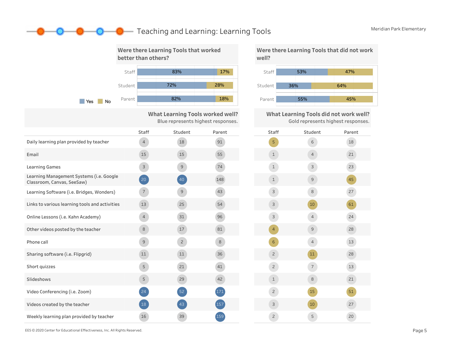# **O** Teaching and Learning: Learning Tools Meridian Park Elementary



What Learning Tools worked well? Blue represents highest responses.

|                                                                        | <b>Staff</b>   | Student        | Parent | Staff          |
|------------------------------------------------------------------------|----------------|----------------|--------|----------------|
| Daily learning plan provided by teacher                                | $\overline{4}$ | 18             | 91     | 5              |
| Email                                                                  | 15             | 15             | 55     | $\mathbf 1$    |
| <b>Learning Games</b>                                                  | 3              | $\overline{9}$ | 74     | 1              |
| Learning Management Systems (i.e. Google<br>Classroom, Canvas, SeeSaw) | 20             | 40             | 148    | $\mathbf 1$    |
| Learning Software (i.e. Bridges, Wonders)                              | $\overline{7}$ | $\mathsf{G}$   | 43     | 3              |
| Links to various learning tools and activities                         | 13             | 25             | 54     | 3              |
| Online Lessons (i.e. Kahn Academy)                                     | $\overline{4}$ | 31             | 96     | 3              |
| Other videos posted by the teacher                                     | 8              | 17             | 81     | $\overline{4}$ |
| Phone call                                                             | 9              | $\overline{c}$ | 8      | 6              |
| Sharing software (i.e. Flipgrid)                                       | 11             | 11             | 36     | $\overline{2}$ |
| Short quizzes                                                          | 5              | 21             | 41     | $\overline{c}$ |
| Slideshows                                                             | 5              | 29             | 42     | $\mathbf 1$    |
| Video Conferencing (i.e. Zoom)                                         | 24             | 52             | 171    | $\overline{2}$ |
| Videos created by the teacher                                          | 18             | 43             | 157    | 3              |
| Weekly learning plan provided by teacher                               | 16             | 39             | 159    | $\overline{2}$ |

Were there Learning Tools that did not work well?



What Learning Tools did not work well? Gold represents highest responses.

| Staff          | Student                  | Parent |
|----------------|--------------------------|--------|
| 5              | 6                        | 18     |
| $\mathbf 1$    | $\overline{4}$           | 21     |
| $\mathbf 1$    | 3                        | 23     |
| $1\,$          | 9                        | 45     |
| 3              | 8                        | 27     |
| 3              | 10                       | 61     |
| 3              | $\overline{4}$           | 24     |
| $\overline{4}$ | 9                        | 28     |
| 6              | $\overline{4}$           | 13     |
| $\overline{c}$ | 11                       | 28     |
| $\mathsf{S}$   | $\overline{\phantom{a}}$ | 13     |
| $\mathbf 1$    | 8                        | 21     |
| $\mathsf{S}$   | 15                       | 51     |
| 3              | 10                       | 27     |
| $\mathsf{S}$   | 5                        | 20     |

EES©2020CenterforEducationalEffectiveness,Inc.AllRightsReserved. Page5

 $\rightarrow$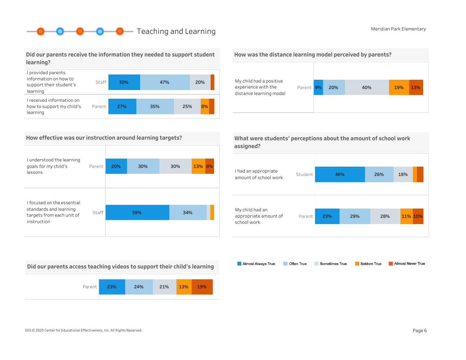# **O** Reaching and Learning Meridian Park Elementary

## Did our parents receive the information they needed to support student learning?



## How effective was our instruction around learning targets?

| I understood the learning<br>goals for my child's<br>lessons                      | Parent | 20% | 30% | 30% | 13% 8% |
|-----------------------------------------------------------------------------------|--------|-----|-----|-----|--------|
| I focused on the essential<br>standards and learning<br>targets from each unit of | Staff  | 59% |     | 34% |        |
| instruction                                                                       |        |     |     |     |        |

Did our parents access teaching videos to support their child's learning



#### How was the distance learning model perceived by parents?



|           | What were students' perceptions about the amount of school work |
|-----------|-----------------------------------------------------------------|
| assigned? |                                                                 |



Almost Always True Almost Never True Often True Sometimes True Seldom True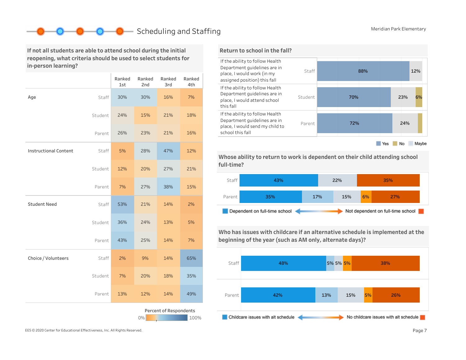# Scheduling and Staffing Meridian Park Elementary

If not all students are able to attend school during the initial reopening, what criteria should be used to select students for in-person learning?

|                              |         | Ranked<br>1st | Ranked<br>2nd | Ranked<br>3rd          | Ranked<br>4th |
|------------------------------|---------|---------------|---------------|------------------------|---------------|
| Age                          | Staff   | 30%           | 30%           | 16%                    | 7%            |
|                              | Student | 24%           | 15%           | 21%                    | 18%           |
|                              | Parent  | 26%           | 23%           | 21%                    | 16%           |
| <b>Instructional Content</b> | Staff   | 5%            | 28%           | 47%                    | 12%           |
|                              | Student | 12%           | 20%           | 27%                    | 21%           |
|                              | Parent  | 7%            | 27%           | 38%                    | 15%           |
| <b>Student Need</b>          | Staff   | 53%           | 21%           | 14%                    | 2%            |
|                              | Student | 36%           | 24%           | 13%                    | 5%            |
|                              | Parent  | 43%           | 25%           | 14%                    | 7%            |
| Choice / Volunteers          | Staff   | 2%            | 9%            | 14%                    | 65%           |
|                              | Student | 7%            | 20%           | 18%                    | 35%           |
|                              | Parent  | 13%           | 12%           | 14%                    | 49%           |
|                              |         |               | $0\%$         | Percent of Respondents | 100%          |

## Return to school in the fall?



Whose ability to return to work is dependent on their child attending school full-time?



Who has issues with childcare if an alternative schedule is implemented at the beginning of the year (such as AM only, alternate days)?

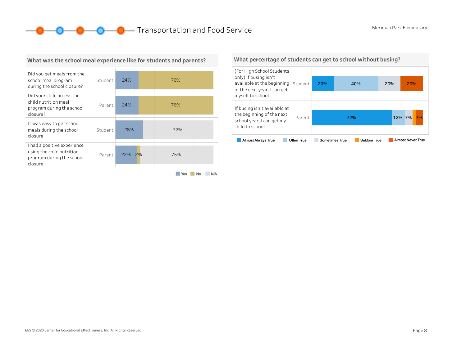**O O O** Transportation and Food Service Meridian Park Elementary



### What was the school meal experience like for students and parents?

Yes No N/A

#### What percentage of students can get to school without busing?

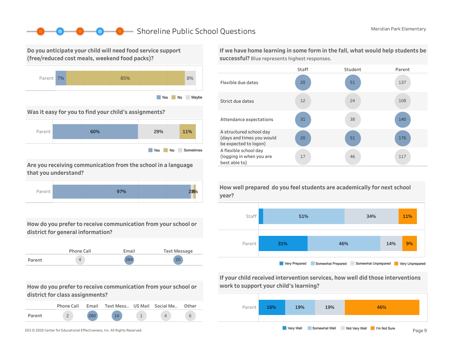# ■ Shoreline Public School Questions Meridian Park Elementary

Do you anticipate your child will need food service support (free/reduced cost meals, weekend food packs)?



Was it easy for you to find your child's assignments?



Are you receiving communication from the school in a language that you understand?



How do you prefer to receive communication from your school or district for general information?

|        | Phone Call | Email | Text Message |
|--------|------------|-------|--------------|
| Parent |            | 201   | $\Omega$     |

How do you prefer to receive communication from your school or district for class assignments?

|        | Phone Call | Email | Text Mess US Mail Social Me |  | Other |
|--------|------------|-------|-----------------------------|--|-------|
| Parent |            | 200   | 1 <sub>1</sub>              |  | ь     |

If we have home learning in some form in the fall, what would help students be successful? Blue represents highest responses.





If your child received intervention services, how well did those interventions work to support your child's learning?



How well prepared do you feel students are academically for next school year?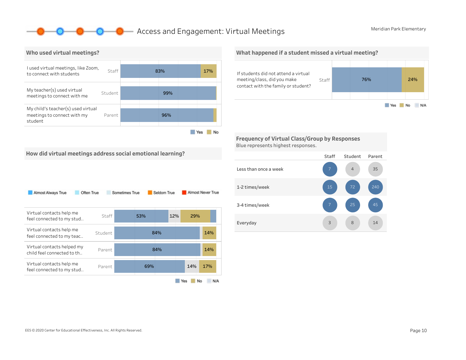## **O** Access and Engagement: Virtual Meetings Meridian Park Elementary



How did virtual meetings address social emotional learning?

### What happened if a student missed a virtual meeting?



Frequency of Virtual Class/Group by Responses Blue represents highest responses.



| Virtual contacts help me<br>feel connected to my stud    | Staff   | 53% |     | 12% | 29% |     |  |
|----------------------------------------------------------|---------|-----|-----|-----|-----|-----|--|
| Virtual contacts help me<br>feel connected to my teac    | Student |     | 84% |     |     | 14% |  |
| Virtual contacts helped my<br>child feel connected to th | Parent  |     | 84% |     |     | 14% |  |
| Virtual contacts help me<br>feel connected to my stud    | Parent  | 69% |     |     | 14% | 17% |  |
|                                                          |         |     |     |     |     |     |  |

Yes No N/A

#### Staff Student Parent Lessthanonceaweek 1-2times/week 3-4times/week Everyday 14 240 35 8 4 3 7 15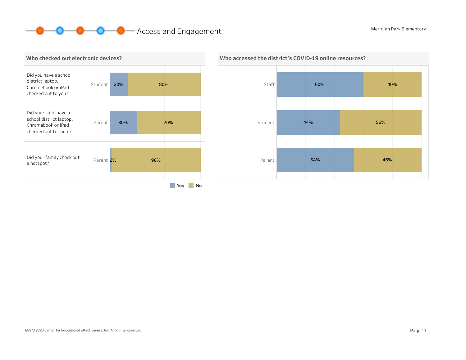# **O** O Access and Engagement Meridian Park Elementary





## Who accessed the district's COVID-19 online resources?

EES © 2020 Center for Educational Effectiveness, Inc. All Rights Reserved. **Page 11** Page 11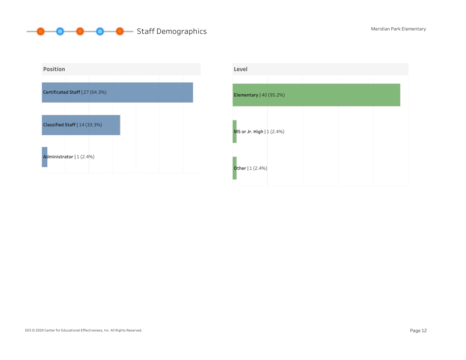



| Level                     |  |  |
|---------------------------|--|--|
| Elementary   40 (95.2%)   |  |  |
| MS or Jr. High   1 (2.4%) |  |  |
| <b>Other</b> $  1 (2.4%)$ |  |  |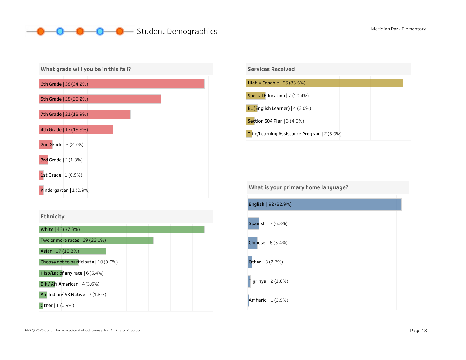# **O** Student Demographics Meridian Park Elementary



| Services Received                            |
|----------------------------------------------|
|                                              |
| Highly Capable   56 (83.6%)                  |
| Special Education   7 (10.4%)                |
| EL (English Learner)   4 (6.0%)              |
| Section 504 Plan   3 (4.5%)                  |
| Title/Learning Assistance Program   2 (3.0%) |

What is your primary home language?

| English   92 (82.9%)     |  |  |
|--------------------------|--|--|
| Spanish   7 (6.3%)       |  |  |
| Chinese   6 (5.4%)       |  |  |
| <b>Other</b>   $3(2.7%)$ |  |  |
| Tigrinya   $2(1.8%)$     |  |  |
| Amharic   1 (0.9%)       |  |  |

Am Indian/AK Native | 2 (1.8%)

**Other** | 1 (0.9%)